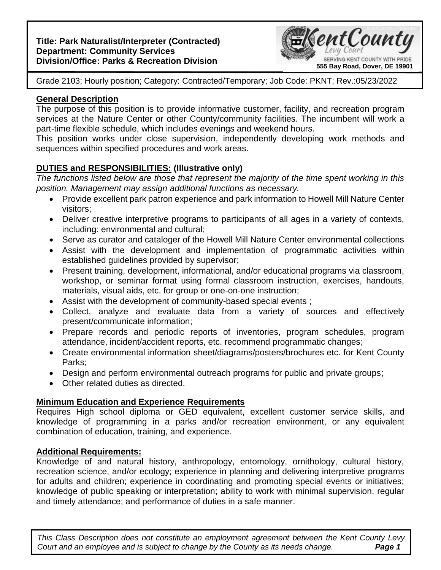### **Title: Park Naturalist/Interpreter (Contracted) Department: Community Services Division/Office: Parks & Recreation Division**



Grade 2103; Hourly position; Category: Contracted/Temporary; Job Code: PKNT; Rev.:05/23/2022

### **General Description**

The purpose of this position is to provide informative customer, facility, and recreation program services at the Nature Center or other County/community facilities. The incumbent will work a part-time flexible schedule, which includes evenings and weekend hours.

This position works under close supervision, independently developing work methods and sequences within specified procedures and work areas.

# **DUTIES and RESPONSIBILITIES: (Illustrative only)**

*The functions listed below are those that represent the majority of the time spent working in this position. Management may assign additional functions as necessary.*

- Provide excellent park patron experience and park information to Howell Mill Nature Center visitors;
- Deliver creative interpretive programs to participants of all ages in a variety of contexts, including: environmental and cultural;
- Serve as curator and cataloger of the Howell Mill Nature Center environmental collections
- Assist with the development and implementation of programmatic activities within established guidelines provided by supervisor;
- Present training, development, informational, and/or educational programs via classroom, workshop, or seminar format using formal classroom instruction, exercises, handouts, materials, visual aids, etc. for group or one-on-one instruction;
- Assist with the development of community-based special events ;
- Collect, analyze and evaluate data from a variety of sources and effectively present/communicate information;
- Prepare records and periodic reports of inventories, program schedules, program attendance, incident/accident reports, etc. recommend programmatic changes;
- Create environmental information sheet/diagrams/posters/brochures etc. for Kent County Parks;
- Design and perform environmental outreach programs for public and private groups;
- Other related duties as directed.

## **Minimum Education and Experience Requirements**

Requires High school diploma or GED equivalent, excellent customer service skills, and knowledge of programming in a parks and/or recreation environment, or any equivalent combination of education, training, and experience.

## **Additional Requirements:**

Knowledge of and natural history, anthropology, entomology, ornithology, cultural history, recreation science, and/or ecology; experience in planning and delivering interpretive programs for adults and children; experience in coordinating and promoting special events or initiatives; knowledge of public speaking or interpretation; ability to work with minimal supervision, regular and timely attendance; and performance of duties in a safe manner.

**Page 1** *This Class Description does not constitute an employment agreement between the Kent County Levy Court* and an employee and is subject to change by the County as its needs change.